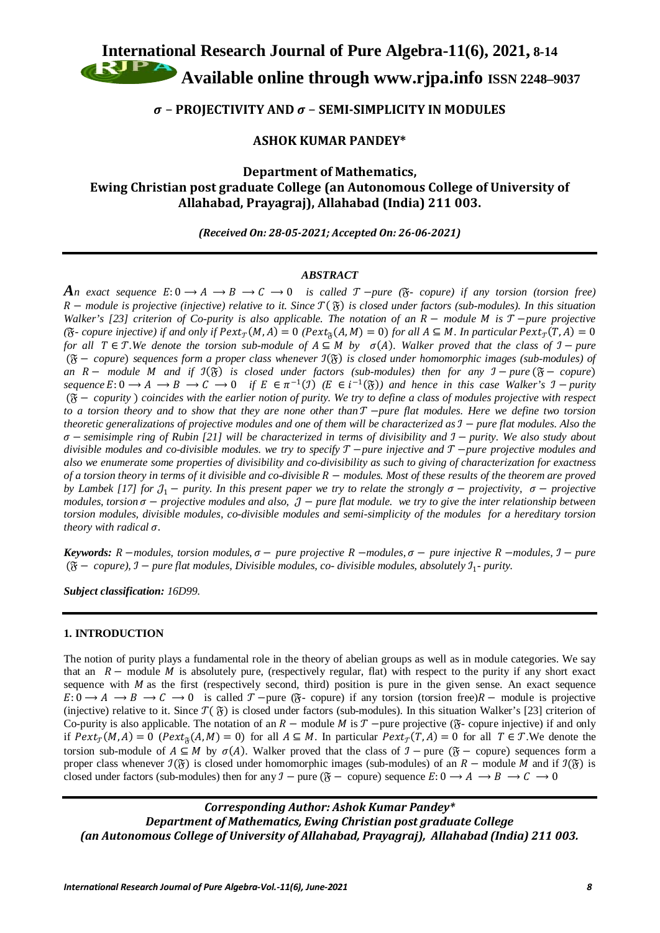**International Research Journal of Pure Algebra-11(6), 2021, 8-14**

**Available online through [www.rjpa.info](http://www.rjpa.info/) ISSN 2248–9037**

# − **PROJECTIVITY AND**  − **SEMI-SIMPLICITY IN MODULES**

## **ASHOK KUMAR PANDEY\***

# **Department of Mathematics, Ewing Christian post graduate College (an Autonomous College of University of Allahabad, Prayagraj), Allahabad (India) 211 003.**

*(Received On: 28-05-2021; Accepted On: 26-06-2021)*

## *ABSTRACT*

*An exact sequence*  $E: 0 \to A \to B \to C \to 0$  is called  $\mathcal{T}-pure$  ( $\mathcal{F}$ -copure) if any torsion (torsion free) − *module is projective (injective) relative to it. Since* ( ) *is closed under factors (sub-modules). In this situation Walker's [23] criterion of Co-purity is also applicable. The notation of an R − module M is T −pure projective (* $\mathfrak{F}$ - *copure injective) if and only if*  $Pext_{\mathcal{T}}(M, A) = 0$  *<i>(Pext*<sub> $\mathfrak{F}(A, M) = 0$ ) *for all*  $A \subseteq M$ *. In particular*  $Pext_{\mathcal{T}}(T, A) = 0$ </sub> *for all*   $T \in \mathcal{T}$ *.We denote the torsion sub-module of*  $A \subseteq M$  *by*  $\sigma(A)$ *. Walker proved that the class of*  $\mathcal{T}$  − *pure* ( − *copure*) *sequences form a proper class whenever* ℐ() *is closed under homomorphic images (sub-modules) of an*  − *module and if* ℐ() *is closed under factors (sub-modules) then for any* ℐ − *pure* ( − *copure*)  $sequence E: 0 \to A \to B \to C \to 0$  if  $E \in \pi^{-1}(\mathfrak{I})$   $(E \in i^{-1}(\mathfrak{F}))$  and hence in this case Walker's  $\mathfrak{I}$  − *purity* ( − *copurity* ) *coincides with the earlier notion of purity. We try to define a class of modules projective with respect to a torsion theory and to show that they are none other than* −*pure flat modules. Here we define two torsion theoretic generalizations of projective modules and one of them will be characterized as* ℐ − *pure flat modules. Also the*   $σ$  − *semisimple ring of Rubin [21] will be characterized in terms of divisibility and*  $\text{I}$  *− <i>purity.* We also study about *divisible modules and co-divisible modules. we try to specify*  −*pure injective and*  −*pure projective modules and also we enumerate some properties of divisibility and co-divisibility as such to giving of characterization for exactness of a torsion theory in terms of it divisible and co-divisible R − modules. Most of these results of the theorem are proved by Lambek [17] for*  $\mathcal{J}_1$  − *purity. In this present paper we try to relate the strongly*  $\sigma$  − *projectivity,*  $\sigma$  − *projective*  $modules$ , *torsion*  $\sigma$  – *projective modules and also,*  $\mathcal{J}$  – *pure flat module. we try to give the inter relationship between torsion modules, divisible modules, co-divisible modules and semi-simplicity of the modules for a hereditary torsion theory with radical* σ.

 $Keywords: R$  –modules, torsion modules,  $\sigma$  – pure projective  $R$  –modules,  $\sigma$  – pure injective  $R$  –modules,  $\sigma$  – pure  $({\mathfrak{F}} − compute)$ ,  ${\mathfrak{I}} − pure$  *flat modules, Divisible modules, co- divisible modules, absolutely*  ${\mathfrak{I}}_1$ - *purity.* 

*Subject classification: 16D99.*

## **1. INTRODUCTION**

The notion of purity plays a fundamental role in the theory of abelian groups as well as in module categories. We say that an  $R$  – module M is absolutely pure, (respectively regular, flat) with respect to the purity if any short exact sequence with  $M$  as the first (respectively second, third) position is pure in the given sense. An exact sequence  $E: 0 \to A \to B \to C \to 0$  is called  $\mathcal{T}$  –pure ( $\mathfrak{F}$ - copure) if any torsion (torsion free) $R$  – module is projective (injective) relative to it. Since  $\mathcal{T}(\mathfrak{F})$  is closed under factors (sub-modules). In this situation Walker's [23] criterion of Co-purity is also applicable. The notation of an  $R$  – module M is  $T$  –pure projective ( $\mathfrak{F}$ -copure injective) if and only if  $Pext_{\tau}(M, A) = 0$  ( $Pext_{\tilde{\alpha}}(A, M) = 0$ ) for all  $A \subseteq M$ . In particular  $Pext_{\tau}(T, A) = 0$  for all  $T \in \mathcal{T}$ . We denote the torsion sub-module of  $A \subseteq M$  by  $\sigma(A)$ . Walker proved that the class of  $\mathcal{I}$  – pure ( $\mathfrak{F}$  – copure) sequences form a proper class whenever  $\mathcal{I}(\mathfrak{F})$  is closed under homomorphic images (sub-modules) of an  $R$  – module M and if  $\mathcal{I}(\mathfrak{F})$  is closed under factors (sub-modules) then for any  $\mathcal{I}$  – pure ( $\mathfrak{F}$  – copure) sequence  $E: 0 \to A \to B \to C \to 0$ 

# *Corresponding Author: Ashok Kumar Pandey\* Department of Mathematics, Ewing Christian post graduate College (an Autonomous College of University of Allahabad, Prayagraj), Allahabad (India) 211 003.*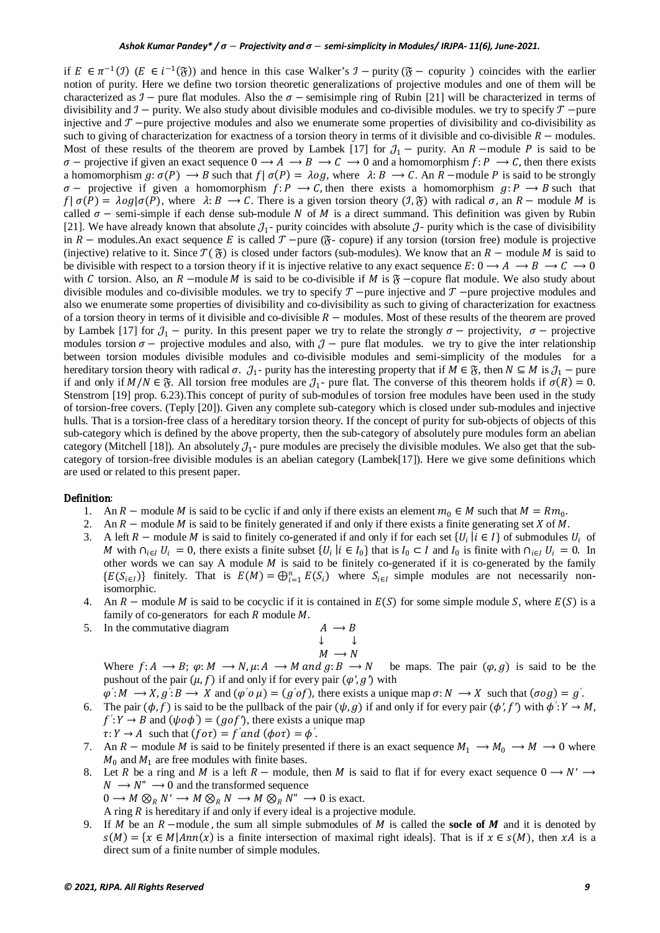if  $E \in \pi^{-1}(\mathcal{I})$  ( $E \in i^{-1}(\mathfrak{F})$ ) and hence in this case Walker's  $\mathcal{I}$  − purity ( $\mathfrak{F}$  − copurity) coincides with the earlier notion of purity. Here we define two torsion theoretic generalizations of projective modules and one of them will be characterized as  $\mathcal{I}$  – pure flat modules. Also the  $\sigma$  – semisimple ring of Rubin [21] will be characterized in terms of divisibility and  $\mathcal{I}$  − purity. We also study about divisible modules and co-divisible modules. we try to specify  $\mathcal{T}$  − pure injective and  $T$  –pure projective modules and also we enumerate some properties of divisibility and co-divisibility as such to giving of characterization for exactness of a torsion theory in terms of it divisible and co-divisible  $R$  – modules. Most of these results of the theorem are proved by Lambek [17] for  $J_1$  – purity. An R –module P is said to be  $\sigma$  – projective if given an exact sequence  $0 \to A \to B \to C \to 0$  and a homomorphism  $f: P \to C$ , then there exists a homomorphism  $g: \sigma(P) \to B$  such that  $f | \sigma(P) = \lambda og$ , where  $\lambda: B \to C$ . An  $R$  –module P is said to be strongly  $\sigma$  – projective if given a homomorphism  $f: P \to C$ , then there exists a homomorphism  $g: P \to B$  such that  $f | \sigma(P) = \lambda o g | \sigma(P)$ , where  $\lambda: B \to C$ . There is a given torsion theory  $(\mathcal{I}, \mathfrak{F})$  with radical  $\sigma$ , an  $R$  – module M is called  $\sigma$  – semi-simple if each dense sub-module N of M is a direct summand. This definition was given by Rubin [21]. We have already known that absolute  $J_1$ - purity coincides with absolute  $J_2$ - purity which is the case of divisibility in  $R$  – modules. An exact sequence E is called  $T$  –pure ( $\mathfrak{F}$ - copure) if any torsion (torsion free) module is projective (injective) relative to it. Since  $\mathcal{T}(\mathfrak{F})$  is closed under factors (sub-modules). We know that an  $R$  – module M is said to be divisible with respect to a torsion theory if it is injective relative to any exact sequence  $E: 0 \to A \to B \to C \to 0$ with C torsion. Also, an  $R$  –module  $M$  is said to be co-divisible if  $M$  is  $\mathfrak{F}$  –copure flat module. We also study about divisible modules and co-divisible modules. we try to specify  $T$  –pure injective and  $T$  –pure projective modules and also we enumerate some properties of divisibility and co-divisibility as such to giving of characterization for exactness of a torsion theory in terms of it divisible and co-divisible  $R$  – modules. Most of these results of the theorem are proved by Lambek [17] for  $J_1$  – purity. In this present paper we try to relate the strongly  $\sigma$  – projectivity,  $\sigma$  – projective modules torsion  $\sigma$  – projective modules and also, with  $\mathcal{J}$  – pure flat modules. we try to give the inter relationship between torsion modules divisible modules and co-divisible modules and semi-simplicity of the modules for a hereditary torsion theory with radical  $\sigma$ .  $J_1$ - purity has the interesting property that if  $M \in \mathfrak{F}$ , then  $N \subseteq M$  is  $J_1$  – pure if and only if  $M/N \in \mathfrak{F}$ . All torsion free modules are  $\mathcal{J}_1$ - pure flat. The converse of this theorem holds if  $\sigma(R) = 0$ . Stenstrom [19] prop. 6.23).This concept of purity of sub-modules of torsion free modules have been used in the study of torsion-free covers. (Teply [20]). Given any complete sub-category which is closed under sub-modules and injective hulls. That is a torsion-free class of a hereditary torsion theory. If the concept of purity for sub-objects of objects of this sub-category which is defined by the above property, then the sub-category of absolutely pure modules form an abelian category (Mitchell [18]). An absolutely  $\mathcal{J}_1$ - pure modules are precisely the divisible modules. We also get that the subcategory of torsion-free divisible modules is an abelian category (Lambek[17]). Here we give some definitions which are used or related to this present paper.

#### Definition:

- 1. An  $R$  module M is said to be cyclic if and only if there exists an element  $m_0 \in M$  such that  $M = Rm_0$ .
- 2. An  $R$  module M is said to be finitely generated if and only if there exists a finite generating set X of M.
- 3. A left  $R$  module M is said to finitely co-generated if and only if for each set  $\{U_i | i \in I\}$  of submodules  $U_i$  of M with  $\cap_{i\in I} U_i = 0$ , there exists a finite subset  $\{U_i \mid i \in I_0\}$  that is  $I_0 \subset I$  and  $I_0$  is finite with  $\cap_{i\in I} U_i = 0$ . In other words we can say A module  $M$  is said to be finitely co-generated if it is co-generated by the family  ${E(S_{i\in I})}$  finitely. That is  $E(M) = \bigoplus_{i=1}^{n} E(S_i)$  where  $S_{i\in I}$  simple modules are not necessarily nonisomorphic.
- 4. An  $R$  module M is said to be cocyclic if it is contained in  $E(S)$  for some simple module S, where  $E(S)$  is a family of co-generators for each  $R$  module  $M$ .
- 5. In the commutative diagram  $A \rightarrow B$

$$
\begin{array}{ccc}\n & \downarrow & \downarrow \\
 & M & \rightarrow N \\
 & M & \rightarrow N\n\end{array}
$$

Where  $f: A \to B$ ;  $\varphi: M \to N$ ,  $\mu: A \to M$  and  $g: B \to N$  be maps. The pair  $(\varphi, g)$  is said to be the pushout of the pair  $(\mu, f)$  if and only if for every pair  $(\varphi', g')$  with

 $\varphi' : M \longrightarrow X, g' : B \longrightarrow X$  and  $(\varphi' \circ \mu) = (g' \circ f)$ , there exists a unique map  $\sigma : N \longrightarrow X$  such that  $(\sigma \circ g) = g'$ .

- 6. The pair  $(\phi, f)$  is said to be the pullback of the pair  $(\psi, g)$  if and only if for every pair  $(\phi', f')$  with  $\phi' : Y \to M$ ,  $f'$ :  $Y \rightarrow B$  and  $(\psi o \phi') = (g \circ f')$ , there exists a unique map
- $\tau: Y \to A$  such that  $(f \circ \tau) = f'$  and  $(\phi \circ \tau) = \phi'$ . 7. An  $R$  – module M is said to be finitely presented if there is an exact sequence  $M_1 \rightarrow M_0 \rightarrow M \rightarrow 0$  where  $M_0$  and  $M_1$  are free modules with finite bases.
- 8. Let R be a ring and M is a left  $R$  module, then M is said to flat if for every exact sequence  $0 \rightarrow N' \rightarrow$  $N \rightarrow N'' \rightarrow 0$  and the transformed sequence  $0 \longrightarrow M \otimes_R N' \longrightarrow M \otimes_R N \longrightarrow M \otimes_R N'' \longrightarrow 0$  is exact.

A ring  $R$  is hereditary if and only if every ideal is a projective module.

9. If  $M$  be an  $R$  –module, the sum all simple submodules of  $M$  is called the **socle of**  $M$  and it is denoted by  $s(M) = \{x \in M | Ann(x) \text{ is a finite intersection of maximal right ideals} \}.$  That is if  $x \in s(M)$ , then  $xA$  is a direct sum of a finite number of simple modules.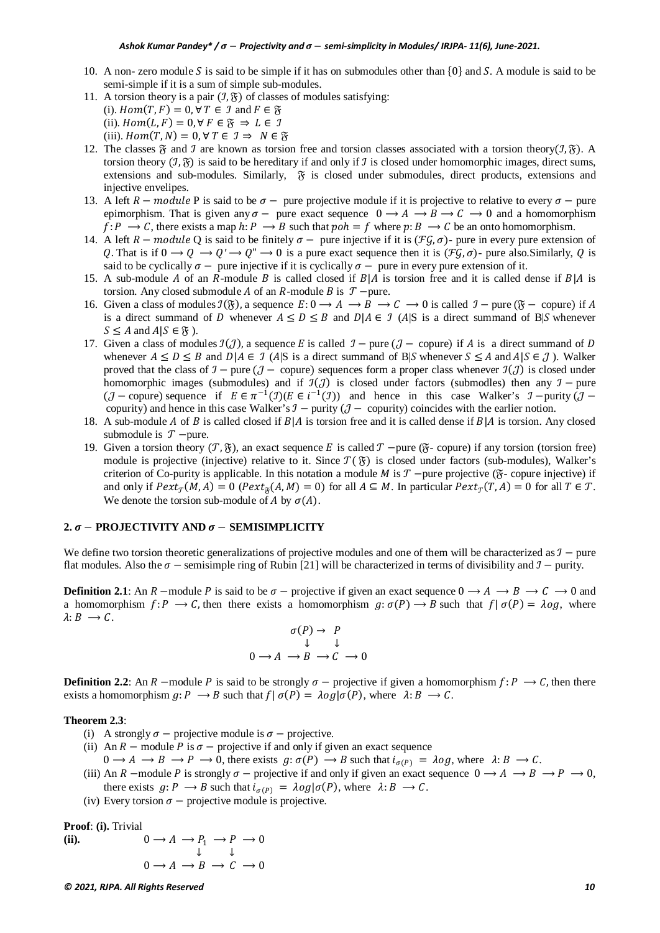- 10. A non-zero module S is said to be simple if it has on submodules other than  $\{0\}$  and S. A module is said to be semi-simple if it is a sum of simple sub-modules.
- 11. A torsion theory is a pair  $(\mathcal{I}, \mathfrak{F})$  of classes of modules satisfying:

(i).  $Hom(T, F) = 0, \forall T \in \mathcal{I}$  and  $F \in \mathcal{F}$ 

- (ii).  $Hom(L, F) = 0, \forall F \in \mathfrak{F} \Rightarrow L \in \mathcal{I}$
- (iii).  $Hom(T, N) = 0, \forall T \in \mathcal{I} \Rightarrow N \in \mathcal{F}$
- 12. The classes  $\mathfrak F$  and  $\mathfrak I$  are known as torsion free and torsion classes associated with a torsion theory( $\mathfrak I$ ,  $\mathfrak F$ ). A torsion theory  $(1, \mathfrak{F})$  is said to be hereditary if and only if  $\mathfrak{I}$  is closed under homomorphic images, direct sums, extensions and sub-modules. Similarly,  $\tilde{y}$  is closed under submodules, direct products, extensions and injective envelipes.
- 13. A left  $R$  module P is said to be  $\sigma$  pure projective module if it is projective to relative to every  $\sigma$  pure epimorphism. That is given any  $\sigma$  – pure exact sequence  $0 \rightarrow A \rightarrow B \rightarrow C \rightarrow 0$  and a homomorphism  $f: P \longrightarrow C$ , there exists a map  $h: P \longrightarrow B$  such that  $p \circ h = f$  where  $p: B \longrightarrow C$  be an onto homomorphism.
- 14. A left  $R$  module Q is said to be finitely  $\sigma$  pure injective if it is ( $\mathcal{F}\mathcal{G}, \sigma$ )- pure in every pure extension of Q. That is if  $0 \to Q \to Q' \to Q'' \to 0$  is a pure exact sequence then it is  $(\mathcal{F}\mathcal{G}, \sigma)$ - pure also. Similarly, Q is said to be cyclically  $\sigma$  – pure injective if it is cyclically  $\sigma$  – pure in every pure extension of it.
- 15. A sub-module A of an R-module B is called closed if  $B|A$  is torsion free and it is called dense if  $B|A$  is torsion. Any closed submodule *A* of an *R*-module *B* is  $T$  –pure.
- 16. Given a class of modules  $\mathcal{I}(\mathfrak{F})$ , a sequence  $E: 0 \to A \to B \to C \to 0$  is called  $\mathcal{I}$  pure ( $\mathfrak{F}$  copure) if A is a direct summand of D whenever  $A \le D \le B$  and  $D|A \in \mathcal{I}$  (A|S is a direct summand of B|S whenever  $S \leq A$  and  $A|S \in \mathfrak{F}$ ).
- 17. Given a class of modules  $\mathcal{I}(J)$ , a sequence E is called  $\mathcal{I}$  pure ( $\mathcal{J}$  copure) if A is a direct summand of D whenever  $A \le D \le B$  and  $D|A \in \mathcal{I}$  (A|S is a direct summand of B|S whenever  $S \le A$  and  $A|S \in \mathcal{I}$ ). Walker proved that the class of  $\mathcal{I}$  – pure ( $\mathcal{J}$  – copure) sequences form a proper class whenever  $\mathcal{I}(\mathcal{J})$  is closed under homomorphic images (submodules) and if  $\mathcal{I}(\mathcal{J})$  is closed under factors (submodles) then any  $\mathcal{I}$  − pure  $(\mathcal{J} -$ copure) sequence if  $E \in \pi^{-1}(\mathcal{J})(E \in i^{-1}(\mathcal{J}))$  and hence in this case Walker's  $\mathcal{J}$  -purity  $(\mathcal{J}$ copurity) and hence in this case Walker's  $\mathcal{I}$  − purity ( $\mathcal{J}$  − copurity) coincides with the earlier notion.
- 18. A sub-module A of B is called closed if  $B | A$  is torsion free and it is called dense if  $B | A$  is torsion. Any closed submodule is  $T$  –pure.
- 19. Given a torsion theory ( $\mathcal{T}, \mathfrak{F}$ ), an exact sequence E is called  $\mathcal{T}$  –pure ( $\mathfrak{F}$ -copure) if any torsion (torsion free) module is projective (injective) relative to it. Since  $\mathcal{T}(\mathfrak{F})$  is closed under factors (sub-modules), Walker's criterion of Co-purity is applicable. In this notation a module  $M$  is  $\mathcal T$  –pure projective ( $\mathfrak F$ -copure injective) if and only if  $Pext_{\mathcal{T}}(M, A) = 0$  ( $Pext_{\mathcal{R}}(A, M) = 0$ ) for all  $A \subseteq M$ . In particular  $Pext_{\mathcal{T}}(T, A) = 0$  for all  $T \in \mathcal{T}$ . We denote the torsion sub-module of A by  $\sigma(A)$ .

## **2.**  − **PROJECTIVITY AND**  − **SEMISIMPLICITY**

We define two torsion theoretic generalizations of projective modules and one of them will be characterized as  $\mathcal{I}$  – pure flat modules. Also the  $\sigma$  – semisimple ring of Rubin [21] will be characterized in terms of divisibility and  $\mathcal{I}$  – purity.

**Definition 2.1**: An R –module P is said to be  $\sigma$  – projective if given an exact sequence  $0 \rightarrow A \rightarrow B \rightarrow C \rightarrow 0$  and a homomorphism  $f: P \to C$ , then there exists a homomorphism  $g: \sigma(P) \to B$  such that  $f | \sigma(P) = \lambda \circ g$ , where  $\lambda: B \longrightarrow C$ .

$$
\begin{array}{c}\n\sigma(P) \to P \\
\downarrow \qquad \downarrow \\
0 \to A \to B \to C \to 0\n\end{array}
$$

**Definition 2.2**: An R –module P is said to be strongly  $\sigma$  – projective if given a homomorphism  $f: P \to C$ , then there exists a homomorphism  $g: P \longrightarrow B$  such that  $f | \sigma(P) = \lambda \circ g | \sigma(P)$ , where  $\lambda: B \longrightarrow C$ .

#### **Theorem 2.3**:

- (i) A strongly  $\sigma$  projective module is  $\sigma$  projective.
- (ii) An  $R$  module P is  $\sigma$  projective if and only if given an exact sequence
- $0 \to A \to B \to P \to 0$ , there exists  $g: \sigma(P) \to B$  such that  $i_{\sigma(P)} = \lambda \circ g$ , where  $\lambda: B \to C$ .
- (iii) An R –module P is strongly  $\sigma$  projective if and only if given an exact sequence  $0 \to A \to B \to P \to 0$ , there exists  $g: P \to B$  such that  $i_{\sigma(P)} = \lambda o g | \sigma(P)$ , where  $\lambda: B \to C$ .
- (iv) Every torsion  $\sigma$  projective module is projective.

**Proof**: **(i).** Trivial

(ii). 
$$
0 \to A \to P_1 \to P \to 0
$$

$$
\downarrow \qquad \downarrow
$$

$$
0 \to A \to B \to C \to 0
$$

*© 2021, RJPA. All Rights Reserved 10*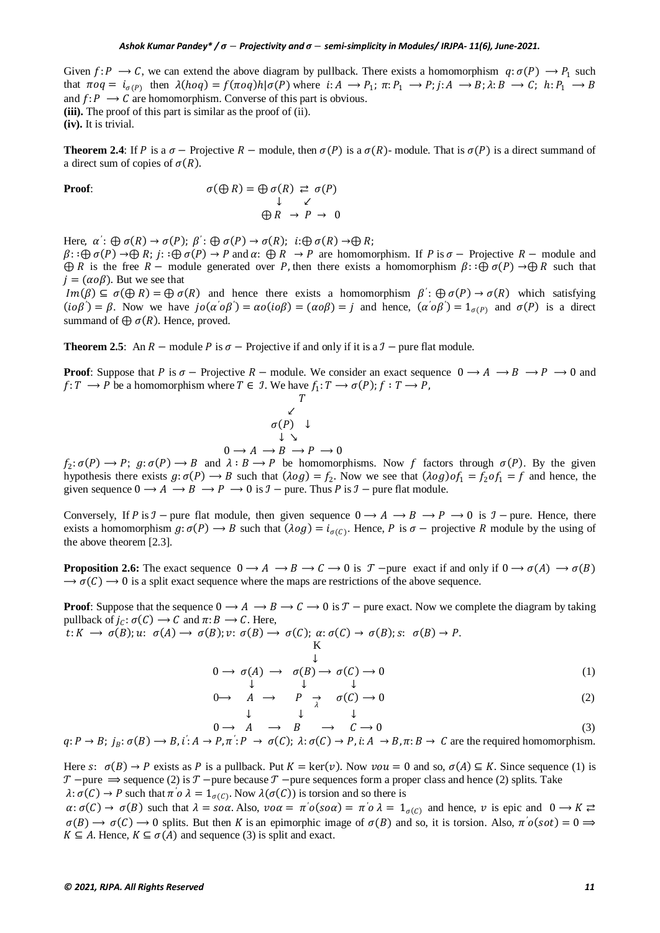Given  $f: P \to C$ , we can extend the above diagram by pullback. There exists a homomorphism  $q: \sigma(P) \to P_1$  such that  $\pi o q = i_{\sigma(P)}$  then  $\lambda(h o q) = f(\pi o q) h |\sigma(P)$  where  $i: A \to P_1$ ;  $\pi: P_1 \to P_2$ ;  $i: A \to B$ ;  $\lambda: B \to C$ ;  $h: P_1 \to B$ and  $f: P \longrightarrow C$  are homomorphism. Converse of this part is obvious. **(iii).** The proof of this part is similar as the proof of (ii). **(iv).** It is trivial.

**Theorem 2.4**: If P is a  $\sigma$  – Projective  $R$  – module, then  $\sigma(P)$  is a  $\sigma(R)$ - module. That is  $\sigma(P)$  is a direct summand of a direct sum of copies of  $\sigma(R)$ .

**Proof:**  
\n
$$
\sigma(\bigoplus R) = \bigoplus \sigma(R) \stackrel{\rightarrow}{\sim} \sigma(P)
$$
\n
$$
\downarrow \quad \swarrow
$$
\n
$$
\bigoplus R \rightarrow P \rightarrow 0
$$

Here,  $\alpha' : \bigoplus \sigma(R) \to \sigma(P); \beta' : \bigoplus \sigma(P) \to \sigma(R); \ i: \bigoplus \sigma(R) \to \bigoplus R;$ 

 $\beta: \bigoplus \sigma(P) \to \bigoplus R$ ;  $j: \bigoplus \sigma(P) \to P$  and  $\alpha: \bigoplus R \to P$  are homomorphism. If P is  $\sigma$  – Projective  $R$  – module and  $\bigoplus R$  is the free R – module generated over P, then there exists a homomorphism  $\beta$ :  $\bigoplus \sigma(P) \to \bigoplus R$  such that  $i = (\alpha \circ \beta)$ . But we see that

 $Im(\beta) \subseteq \sigma(\bigoplus R) = \bigoplus \sigma(R)$  and hence there exists a homomorphism  $\beta' : \bigoplus \sigma(P) \to \sigma(R)$  which satisfying  $(i\alpha\beta') = \beta$ . Now we have  $j\alpha(\alpha'\alpha\beta') = \alpha\alpha(i\alpha\beta) = (\alpha\alpha\beta) = j$  and hence,  $(\alpha'\alpha\beta') = 1_{\sigma(P)}$  and  $\sigma(P)$  is a direct summand of  $\bigoplus \sigma(R)$ . Hence, proved.

**Theorem 2.5:** An  $R$  – module P is  $\sigma$  – Projective if and only if it is a  $\mathcal{I}$  – pure flat module.

**Proof**: Suppose that P is  $\sigma$  – Projective  $R$  – module. We consider an exact sequence  $0 \rightarrow A \rightarrow B \rightarrow P \rightarrow 0$  and  $f: T \longrightarrow P$  be a homomorphism where  $T \in \mathcal{I}$ . We have  $f_1: T \longrightarrow \sigma(P)$ ;  $f: T \longrightarrow P$ ,

$$
\begin{array}{c}\nT \\
\swarrow \\
\sigma(P) \downarrow \\
\downarrow \searrow \\
0 \to A \to B \to P \to 0\n\end{array}
$$

 $f_2: \sigma(P) \to P$ ;  $g: \sigma(P) \to B$  and  $\lambda: B \to P$  be homomorphisms. Now f factors through  $\sigma(P)$ . By the given hypothesis there exists  $g: \sigma(P) \to B$  such that  $(\lambda \circ g) = f_2$ . Now we see that  $(\lambda \circ g) \circ f_1 = f_2 \circ f_1 = f$  and hence, the given sequence  $0 \to A \to B \to P \to 0$  is  $\mathcal{I}$  – pure. Thus P is  $\mathcal{I}$  – pure flat module.

Conversely, If P is  $\mathcal{I}$  – pure flat module, then given sequence  $0 \to A \to B \to P \to 0$  is  $\mathcal{I}$  – pure. Hence, there exists a homomorphism  $g: \sigma(P) \to B$  such that  $(\lambda \circ g) = i_{\sigma(P)}$ . Hence, P is  $\sigma$  – projective R module by the using of the above theorem [2.3].

**Proposition 2.6:** The exact sequence  $0 \to A \to B \to C \to 0$  is  $T$  –pure exact if and only if  $0 \to \sigma(A) \to \sigma(B)$  $\rightarrow \sigma(C) \rightarrow 0$  is a split exact sequence where the maps are restrictions of the above sequence.

**Proof**: Suppose that the sequence  $0 \to A \to B \to C \to 0$  is  $T -$  pure exact. Now we complete the diagram by taking pullback of  $j_c: \sigma(C) \to C$  and  $\pi: B \to C$ . Here,

 $t: K \longrightarrow \sigma(B); u: \sigma(A) \longrightarrow \sigma(B); v: \sigma(B) \longrightarrow \sigma(C); \alpha: \sigma(C) \longrightarrow \sigma(B); s: \sigma(B) \longrightarrow P.$ K<sub>K</sub> and the state of the state of the state of the state of the state of the state of the state of the state of the state of the state of the state of the state of the state of the state of the state of the state of the s

$$
0 \to \sigma(A) \to \sigma(B) \to \sigma(C) \to 0
$$
\n
$$
\downarrow \qquad \qquad (1)
$$

$$
0 \longrightarrow \quad A \quad \longrightarrow \quad P \quad \longrightarrow \quad \sigma(C) \longrightarrow 0 \tag{2}
$$

$$
\begin{array}{ccccccc}\n & & \downarrow & & \downarrow & & \downarrow & \\
 & & 0 \rightarrow A & \rightarrow B & \rightarrow C \rightarrow 0 & \\
q: P \rightarrow B; \, j_B: \sigma(B) \rightarrow B, \, i': A \rightarrow P, \pi': P \rightarrow \sigma(C); \, \lambda: \sigma(C) \rightarrow P, \, i: A \rightarrow B, \pi: B \rightarrow C \text{ are the required homomorphism.}\n\end{array}\n\tag{3}
$$

Here s:  $\sigma(B) \to P$  exists as P is a pullback. Put  $K = \text{ker}(v)$ . Now  $v \circ u = 0$  and so,  $\sigma(A) \subseteq K$ . Since sequence (1) is  $\mathcal{T}$  –pure  $\Rightarrow$  sequence (2) is  $\mathcal{T}$  –pure because  $\mathcal{T}$  –pure sequences form a proper class and hence (2) splits. Take  $\lambda$ :  $\sigma(C) \rightarrow P$  such that  $\pi' \circ \lambda = 1_{\sigma(C)}$ . Now  $\lambda(\sigma(C))$  is torsion and so there is

 $\alpha$ :  $\sigma(C) \rightarrow \sigma(B)$  such that  $\lambda = s \circ \alpha$ . Also,  $v \circ \alpha = \pi' \circ (s \circ \alpha) = \pi' \circ \lambda = 1_{\sigma(C)}$  and hence,  $v$  is epic and  $0 \rightarrow K \rightleftarrows$  $\sigma(B) \to \sigma(C) \to 0$  splits. But then K is an epimorphic image of  $\sigma(B)$  and so, it is torsion. Also,  $\pi' \sigma(sot) = 0 \implies$  $K \subseteq A$ . Hence,  $K \subseteq \sigma(A)$  and sequence (3) is split and exact.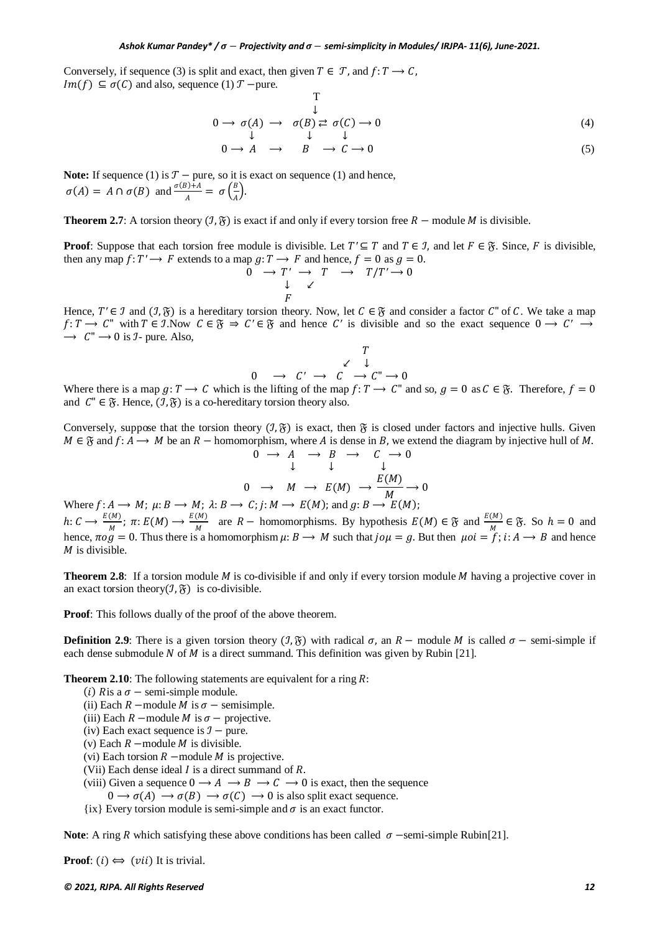Conversely, if sequence (3) is split and exact, then given  $T \in \mathcal{T}$ , and  $f: T \to \mathcal{C}$ .  $Im(f) \subseteq \sigma(C)$  and also, sequence (1)  $T$  –pure.

$$
0 \to \sigma(A) \to \sigma(B) \stackrel{\downarrow}{\underset{\downarrow}{\sim}} \sigma(C) \to 0
$$
 (4)

$$
0 \longrightarrow A \quad \longrightarrow \quad B \quad \longrightarrow C \longrightarrow 0 \tag{5}
$$

**Note:** If sequence (1) is  $T$  – pure, so it is exact on sequence (1) and hence,  $\sigma(A) = A \cap \sigma(B)$  and  $\frac{\sigma(B) + A}{A} = \sigma\left(\frac{B}{A}\right)$  $\overline{A}$ ).

**Theorem 2.7**: A torsion theory  $(\mathcal{I}, \mathfrak{F})$  is exact if and only if every torsion free  $R$  – module M is divisible.

**Proof**: Suppose that each torsion free module is divisible. Let  $T' \subseteq T$  and  $T \in \mathcal{I}$ , and let  $F \in \mathcal{I}$ . Since, F is divisible, then any map  $f: T' \to F$  extends to a map  $g: T \to F$  and hence,  $f = 0$  as  $g = 0$ .<br>  $0 \to T' \to T \to T'/T' \to 0$ 

$$
0 \rightarrow T' \rightarrow T \rightarrow T/T' \rightarrow 0
$$
  
\n
$$
\downarrow \swarrow
$$
  
\n
$$
F
$$

Hence,  $T' \in \mathcal{I}$  and  $(\mathcal{I}, \mathfrak{F})$  is a hereditary torsion theory. Now, let  $C \in \mathfrak{F}$  and consider a factor  $C''$  of  $C$ . We take a map  $f: T \to C^{\prime\prime}$  with  $T \in \mathcal{I}$ . Now  $C \in \mathcal{F} \Rightarrow C' \in \mathcal{F}$  and hence *C'* is divisible and so the exact sequence  $0 \to C' \to C'$  $\rightarrow$   $C'' \rightarrow 0$  is *J*- pure. Also,

$$
\begin{array}{ccc}\n & T \\
 & \swarrow & \downarrow \\
0 & \to & C' \to & C \to C'' \to 0\n\end{array}
$$

Where there is a map  $g: T \to C$  which is the lifting of the map  $f: T \to C^*$  and so,  $g = 0$  as  $C \in \mathfrak{F}$ . Therefore,  $f = 0$ and  $C'' \in \mathfrak{F}$ . Hence,  $(\mathcal{I}, \mathfrak{F})$  is a co-hereditary torsion theory also.

Conversely, suppose that the torsion theory  $(\mathcal{I}, \mathfrak{F})$  is exact, then  $\mathfrak{F}$  is closed under factors and injective hulls. Given  $M \in \mathfrak{F}$  and  $f: A \to M$  be an  $R$  – homomorphism, where A is dense in B, we extend the diagram by injective hull of M.  $0 \rightarrow A \rightarrow B \rightarrow C \rightarrow 0$ 

 ↓ ↓ ↓ <sup>0</sup> <sup>⟶</sup> <sup>⟶</sup> () <sup>⟶</sup> () <sup>⟶</sup> <sup>0</sup>

Where  $f: A \longrightarrow M$ ;  $\mu: B \longrightarrow M$ ;  $\lambda: B \longrightarrow C$ ;  $j: M \longrightarrow E(M)$ ; and  $g: B \longrightarrow E(M)$ ;  $h: C \longrightarrow \frac{E(M)}{M}$ ;  $\pi: E(M) \longrightarrow \frac{E(M)}{M}$  are  $R$  – homomorphisms. By hypothesis  $E(M) \in \mathfrak{F}$  and  $\frac{E(M)}{M} \in \mathfrak{F}$ . So  $h = 0$  and hence,  $\pi \circ g = 0$ . Thus there is a homomorphism  $\mu: B \to M$  such that  $j \circ \mu = g$ . But then  $\mu \circ i = f$ ;  $i: A \to B$  and hence  $M$  is divisible.

**Theorem 2.8**: If a torsion module  $M$  is co-divisible if and only if every torsion module  $M$  having a projective cover in an exact torsion theory $(\mathcal{I}, \mathfrak{F})$  is co-divisible.

**Proof**: This follows dually of the proof of the above theorem.

**Definition 2.9**: There is a given torsion theory  $(\mathcal{I}, \mathfrak{F})$  with radical  $\sigma$ , an  $R$  – module M is called  $\sigma$  – semi-simple if each dense submodule N of M is a direct summand. This definition was given by Rubin [21].

**Theorem 2.10:** The following statements are equivalent for a ring  $R$ :

- (i) Ris a  $\sigma$  semi-simple module.
- (ii) Each  $R$  –module  $M$  is  $\sigma$  semisimple.
- (iii) Each  $R$  –module  $M$  is  $\sigma$  projective.
- (iv) Each exact sequence is  $\mathcal{I}$  pure.
- (v) Each  $R$  –module  $M$  is divisible.
- (vi) Each torsion  $R$  –module  $M$  is projective.
- (Vii) Each dense ideal  $I$  is a direct summand of  $R$ .
- (viii) Given a sequence  $0 \to A \to B \to C \to 0$  is exact, then the sequence
- $0 \to \sigma(A) \to \sigma(B) \to \sigma(C) \to 0$  is also split exact sequence.
- $\{ix\}$  Every torsion module is semi-simple and  $\sigma$  is an exact functor.

**Note**: A ring *R* which satisfying these above conditions has been called  $\sigma$  -semi-simple Rubin[21].

**Proof**:  $(i) \Leftrightarrow (vii)$  It is trivial.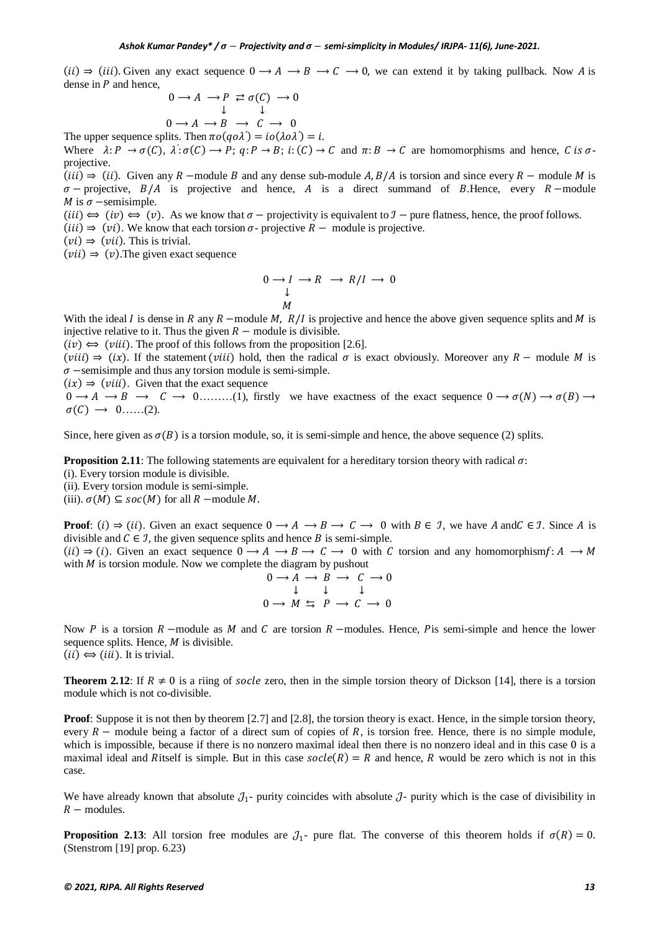(ii)  $\Rightarrow$  (iii). Given any exact sequence  $0 \rightarrow A \rightarrow B \rightarrow C \rightarrow 0$ , we can extend it by taking pullback. Now A is dense in  $P$  and hence.

$$
0 \to A \to P \underset{\downarrow}{\to} \sigma(C) \to 0
$$

$$
0 \to A \to B \to C \to 0
$$

The upper sequence splits. Then  $\pi o(qo\lambda') = io(\lambda o\lambda') = i$ .

Where  $\lambda: P \to \sigma(C)$ ,  $\lambda': \sigma(C) \to P$ ;  $q: P \to B$ ;  $i: (C) \to C$  and  $\pi: B \to C$  are homomorphisms and hence, C is  $\sigma$ projective.

(*iii*)  $\Rightarrow$  (*ii*). Given any R –module B and any dense sub-module A, B/A is torsion and since every R – module M is  $\sigma$  – projective,  $B/A$  is projective and hence, A is a direct summand of B.Hence, every R – module M is  $\sigma$  –semisimple.

(*iii*)  $\Leftrightarrow$  (*iv*)  $\Leftrightarrow$  (*v*). As we know that  $\sigma$  – projectivity is equivalent to  $\mathcal{I}$  – pure flatness, hence, the proof follows.

(*iii*)  $\Rightarrow$  (*vi*). We know that each torsion  $\sigma$ - projective  $R$  – module is projective.

 $(vi) \Rightarrow (vii)$ . This is trivial.

 $(vii) \Rightarrow (v)$ . The given exact sequence

$$
0 \to I \to R \to R/I \to 0
$$
  

$$
\downarrow
$$
  

$$
M
$$

With the ideal *I* is dense in *R* any *R* –module *M*,  $R/I$  is projective and hence the above given sequence splits and *M* is injective relative to it. Thus the given  $R$  – module is divisible.

 $(iv) \Leftrightarrow (viii)$ . The proof of this follows from the proposition [2.6].

 $(viii) \Rightarrow (ix)$ . If the statement (*viii*) hold, then the radical  $\sigma$  is exact obviously. Moreover any  $R$  – module M is  $\sigma$  –semisimple and thus any torsion module is semi-simple.

 $(ix) \Rightarrow (viii)$ . Given that the exact sequence

 $0 \to A \to B \to C \to 0$ ........(1), firstly we have exactness of the exact sequence  $0 \to \sigma(N) \to \sigma(B) \to C$  $\sigma(C) \rightarrow 0$ ......(2).

Since, here given as  $\sigma(B)$  is a torsion module, so, it is semi-simple and hence, the above sequence (2) splits.

**Proposition 2.11**: The following statements are equivalent for a hereditary torsion theory with radical  $\sigma$ .

(i). Every torsion module is divisible.

(ii). Every torsion module is semi-simple.

(iii).  $\sigma(M) \subseteq \mathit{soc}(M)$  for all  $R$  –module M.

**Proof**: (i)  $\Rightarrow$  (ii). Given an exact sequence  $0 \rightarrow A \rightarrow B \rightarrow C \rightarrow 0$  with  $B \in \mathcal{I}$ , we have A and  $C \in \mathcal{I}$ . Since A is divisible and  $C \in \mathcal{I}$ , the given sequence splits and hence B is semi-simple.

(ii)  $\Rightarrow$  (i). Given an exact sequence  $0 \rightarrow A \rightarrow B \rightarrow C \rightarrow 0$  with C torsion and any homomorphism $f: A \rightarrow M$ with  $M$  is torsion module. Now we complete the diagram by pushout

$$
0 \to A \to B \to C \to 0
$$
  

$$
\downarrow \qquad \downarrow \qquad \downarrow
$$
  

$$
0 \to M \leq P \to C \to 0
$$

Now  $P$  is a torsion  $R$  –module as  $M$  and  $C$  are torsion  $R$  –modules. Hence,  $P$  is semi-simple and hence the lower sequence splits. Hence,  $M$  is divisible.

 $(ii) \Leftrightarrow (iii)$ . It is trivial.

**Theorem 2.12:** If  $R \neq 0$  is a riing of socle zero, then in the simple torsion theory of Dickson [14], there is a torsion module which is not co-divisible.

**Proof**: Suppose it is not then by theorem [2.7] and [2.8], the torsion theory is exact. Hence, in the simple torsion theory, every  $R$  – module being a factor of a direct sum of copies of R, is torsion free. Hence, there is no simple module, which is impossible, because if there is no nonzero maximal ideal then there is no nonzero ideal and in this case 0 is a maximal ideal and Ritself is simple. But in this case  $\text{socle}(R) = R$  and hence, R would be zero which is not in this case.

We have already known that absolute  $J_1$ - purity coincides with absolute  $J_1$ - purity which is the case of divisibility in  $R$  – modules.

**Proposition 2.13**: All torsion free modules are  $J_1$ - pure flat. The converse of this theorem holds if  $\sigma(R) = 0$ . (Stenstrom [19] prop. 6.23)